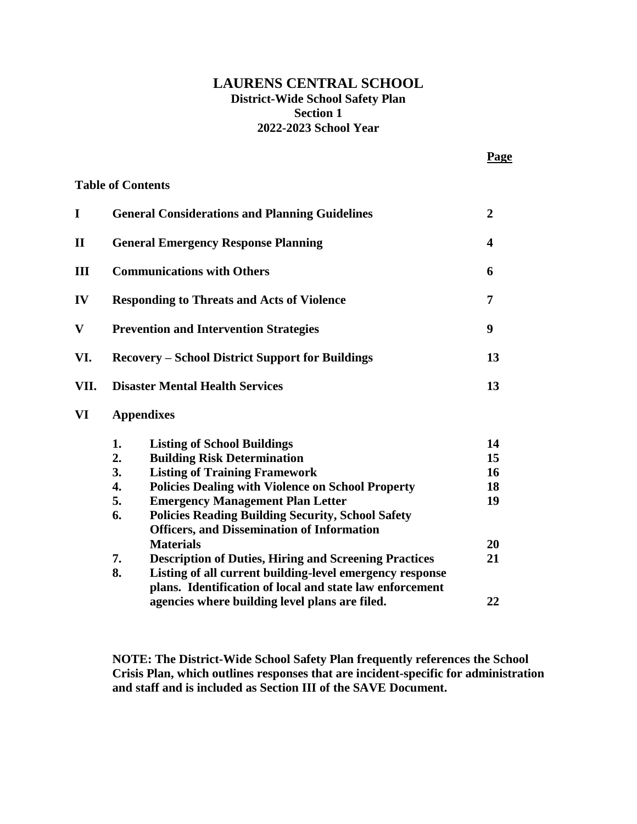## **LAURENS CENTRAL SCHOOL District-Wide School Safety Plan Section 1 2022-2023 School Year**

**Page**

|                        |                                                         | <b>Table of Contents</b>                                     |    |  |
|------------------------|---------------------------------------------------------|--------------------------------------------------------------|----|--|
| I                      | <b>General Considerations and Planning Guidelines</b>   |                                                              |    |  |
| $\mathbf{I}\mathbf{I}$ | <b>General Emergency Response Planning</b>              |                                                              |    |  |
| Ш                      | <b>Communications with Others</b>                       |                                                              |    |  |
| IV                     | <b>Responding to Threats and Acts of Violence</b>       |                                                              |    |  |
| $\bar{\mathbf{V}}$     | <b>Prevention and Intervention Strategies</b>           |                                                              |    |  |
| VI.                    | <b>Recovery – School District Support for Buildings</b> |                                                              |    |  |
| VII.                   | 13<br><b>Disaster Mental Health Services</b>            |                                                              |    |  |
| VI                     | <b>Appendixes</b>                                       |                                                              |    |  |
|                        | 1.                                                      | <b>Listing of School Buildings</b>                           | 14 |  |
|                        | 2.                                                      | <b>Building Risk Determination</b>                           | 15 |  |
|                        | 3.                                                      | <b>Listing of Training Framework</b>                         | 16 |  |
|                        | $\overline{4}$ .                                        | <b>Policies Dealing with Violence on School Property</b>     | 18 |  |
|                        | 5.                                                      | <b>Emergency Management Plan Letter</b>                      | 19 |  |
|                        | 6.                                                      | <b>Policies Reading Building Security, School Safety</b>     |    |  |
|                        |                                                         | <b>Officers, and Dissemination of Information</b>            |    |  |
|                        |                                                         | <b>Materials</b>                                             | 20 |  |
|                        | 7.                                                      | <b>Description of Duties, Hiring and Screening Practices</b> | 21 |  |
|                        | 8.                                                      | Listing of all current building-level emergency response     |    |  |
|                        |                                                         | plans. Identification of local and state law enforcement     |    |  |
|                        |                                                         | agencies where building level plans are filed.               | 22 |  |

**NOTE: The District-Wide School Safety Plan frequently references the School Crisis Plan, which outlines responses that are incident-specific for administration and staff and is included as Section III of the SAVE Document.**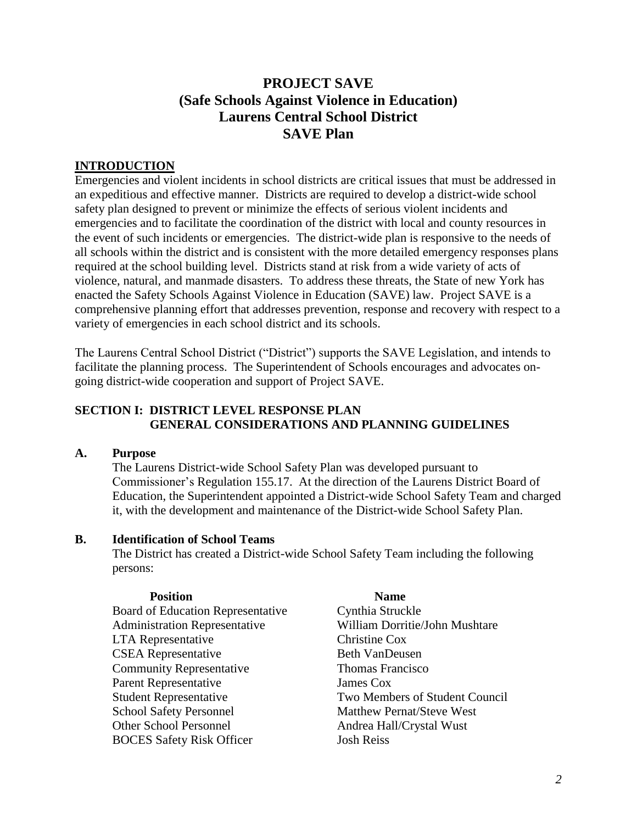# **PROJECT SAVE (Safe Schools Against Violence in Education) Laurens Central School District SAVE Plan**

## **INTRODUCTION**

Emergencies and violent incidents in school districts are critical issues that must be addressed in an expeditious and effective manner. Districts are required to develop a district-wide school safety plan designed to prevent or minimize the effects of serious violent incidents and emergencies and to facilitate the coordination of the district with local and county resources in the event of such incidents or emergencies. The district-wide plan is responsive to the needs of all schools within the district and is consistent with the more detailed emergency responses plans required at the school building level. Districts stand at risk from a wide variety of acts of violence, natural, and manmade disasters. To address these threats, the State of new York has enacted the Safety Schools Against Violence in Education (SAVE) law. Project SAVE is a comprehensive planning effort that addresses prevention, response and recovery with respect to a variety of emergencies in each school district and its schools.

The Laurens Central School District ("District") supports the SAVE Legislation, and intends to facilitate the planning process. The Superintendent of Schools encourages and advocates ongoing district-wide cooperation and support of Project SAVE.

#### **SECTION I: DISTRICT LEVEL RESPONSE PLAN GENERAL CONSIDERATIONS AND PLANNING GUIDELINES**

### **A. Purpose**

The Laurens District-wide School Safety Plan was developed pursuant to Commissioner's Regulation 155.17. At the direction of the Laurens District Board of Education, the Superintendent appointed a District-wide School Safety Team and charged it, with the development and maintenance of the District-wide School Safety Plan.

#### **B. Identification of School Teams**

The District has created a District-wide School Safety Team including the following persons:

#### **Position Name**

- 
- Board of Education Representative Cynthia Struckle Administration Representative William Dorritie/John Mushtare LTA Representative Christine Cox CSEA Representative Beth VanDeusen **Community Representative Thomas Francisco** Parent Representative James Cox Student Representative Two Members of Student Council School Safety Personnel<br>
Other School Personnel<br>
Andrea Hall/Crystal Wust BOCES Safety Risk Officer Josh Reiss

Andrea Hall/Crystal Wust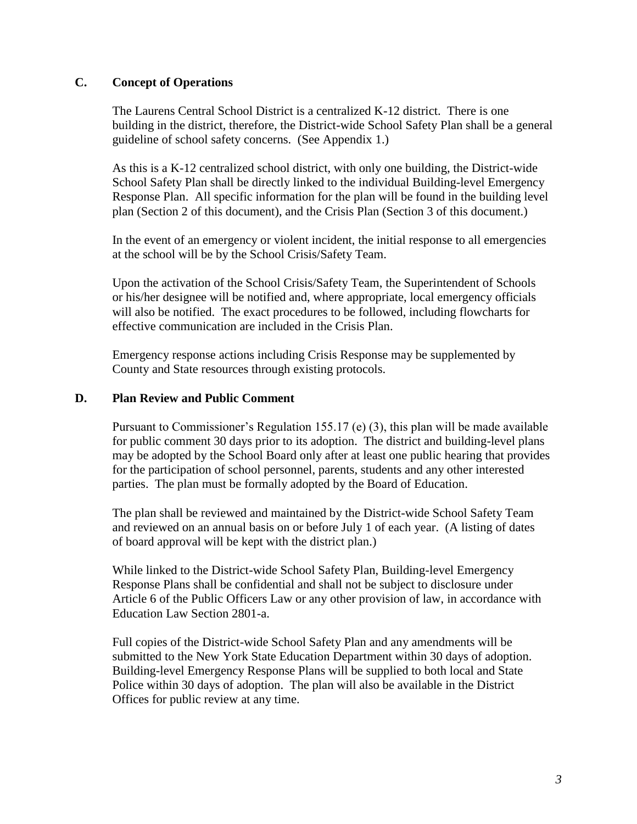### **C. Concept of Operations**

The Laurens Central School District is a centralized K-12 district. There is one building in the district, therefore, the District-wide School Safety Plan shall be a general guideline of school safety concerns. (See Appendix 1.)

As this is a K-12 centralized school district, with only one building, the District-wide School Safety Plan shall be directly linked to the individual Building-level Emergency Response Plan. All specific information for the plan will be found in the building level plan (Section 2 of this document), and the Crisis Plan (Section 3 of this document.)

In the event of an emergency or violent incident, the initial response to all emergencies at the school will be by the School Crisis/Safety Team.

Upon the activation of the School Crisis/Safety Team, the Superintendent of Schools or his/her designee will be notified and, where appropriate, local emergency officials will also be notified. The exact procedures to be followed, including flowcharts for effective communication are included in the Crisis Plan.

Emergency response actions including Crisis Response may be supplemented by County and State resources through existing protocols.

#### **D. Plan Review and Public Comment**

Pursuant to Commissioner's Regulation 155.17 (e) (3), this plan will be made available for public comment 30 days prior to its adoption. The district and building-level plans may be adopted by the School Board only after at least one public hearing that provides for the participation of school personnel, parents, students and any other interested parties. The plan must be formally adopted by the Board of Education.

The plan shall be reviewed and maintained by the District-wide School Safety Team and reviewed on an annual basis on or before July 1 of each year. (A listing of dates of board approval will be kept with the district plan.)

While linked to the District-wide School Safety Plan, Building-level Emergency Response Plans shall be confidential and shall not be subject to disclosure under Article 6 of the Public Officers Law or any other provision of law, in accordance with Education Law Section 2801-a.

Full copies of the District-wide School Safety Plan and any amendments will be submitted to the New York State Education Department within 30 days of adoption. Building-level Emergency Response Plans will be supplied to both local and State Police within 30 days of adoption. The plan will also be available in the District Offices for public review at any time.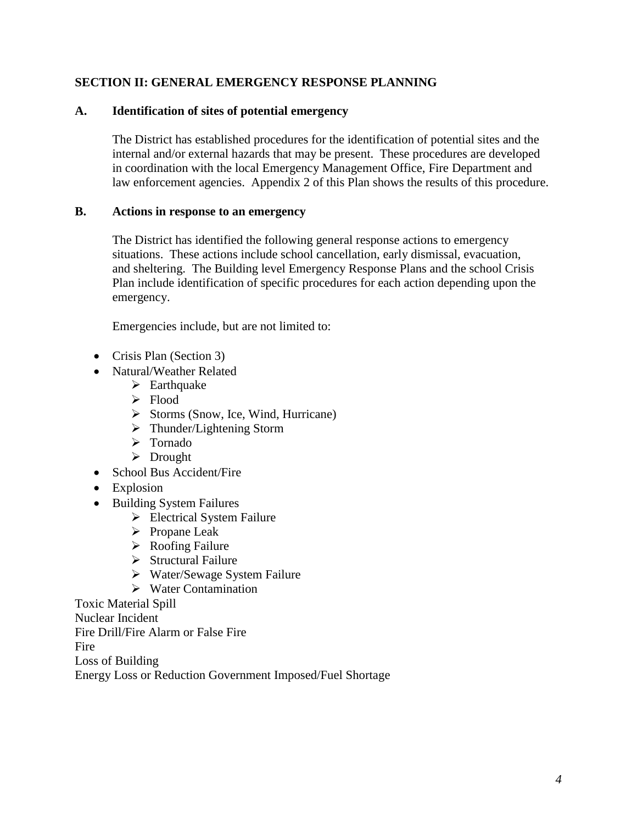### **SECTION II: GENERAL EMERGENCY RESPONSE PLANNING**

### **A. Identification of sites of potential emergency**

The District has established procedures for the identification of potential sites and the internal and/or external hazards that may be present. These procedures are developed in coordination with the local Emergency Management Office, Fire Department and law enforcement agencies. Appendix 2 of this Plan shows the results of this procedure.

#### **B. Actions in response to an emergency**

The District has identified the following general response actions to emergency situations. These actions include school cancellation, early dismissal, evacuation, and sheltering. The Building level Emergency Response Plans and the school Crisis Plan include identification of specific procedures for each action depending upon the emergency.

Emergencies include, but are not limited to:

- Crisis Plan (Section 3)
- Natural/Weather Related
	- $\triangleright$  Earthquake
	- > Flood
	- $\triangleright$  Storms (Snow, Ice, Wind, Hurricane)
	- $\triangleright$  Thunder/Lightening Storm
	- > Tornado
	- > Drought
- School Bus Accident/Fire
- Explosion
- Building System Failures
	- Electrical System Failure
	- $\triangleright$  Propane Leak
	- $\triangleright$  Roofing Failure
	- $\triangleright$  Structural Failure
	- Water/Sewage System Failure
	- $\triangleright$  Water Contamination

Toxic Material Spill Nuclear Incident Fire Drill/Fire Alarm or False Fire **Fire** Loss of Building Energy Loss or Reduction Government Imposed/Fuel Shortage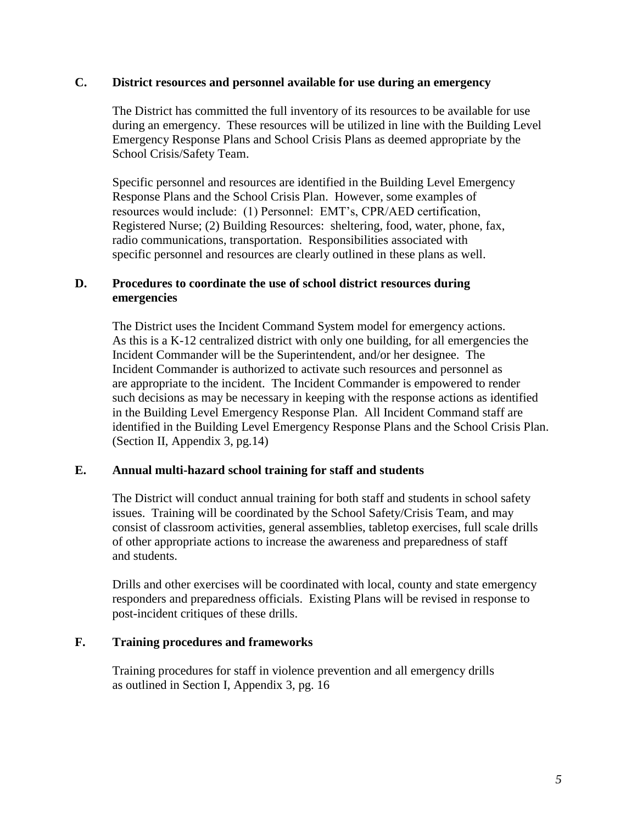### **C. District resources and personnel available for use during an emergency**

The District has committed the full inventory of its resources to be available for use during an emergency. These resources will be utilized in line with the Building Level Emergency Response Plans and School Crisis Plans as deemed appropriate by the School Crisis/Safety Team.

Specific personnel and resources are identified in the Building Level Emergency Response Plans and the School Crisis Plan. However, some examples of resources would include: (1) Personnel: EMT's, CPR/AED certification, Registered Nurse; (2) Building Resources: sheltering, food, water, phone, fax, radio communications, transportation. Responsibilities associated with specific personnel and resources are clearly outlined in these plans as well.

#### **D. Procedures to coordinate the use of school district resources during emergencies**

The District uses the Incident Command System model for emergency actions. As this is a K-12 centralized district with only one building, for all emergencies the Incident Commander will be the Superintendent, and/or her designee. The Incident Commander is authorized to activate such resources and personnel as are appropriate to the incident. The Incident Commander is empowered to render such decisions as may be necessary in keeping with the response actions as identified in the Building Level Emergency Response Plan. All Incident Command staff are identified in the Building Level Emergency Response Plans and the School Crisis Plan. (Section II, Appendix 3, pg.14)

#### **E. Annual multi-hazard school training for staff and students**

The District will conduct annual training for both staff and students in school safety issues. Training will be coordinated by the School Safety/Crisis Team, and may consist of classroom activities, general assemblies, tabletop exercises, full scale drills of other appropriate actions to increase the awareness and preparedness of staff and students.

Drills and other exercises will be coordinated with local, county and state emergency responders and preparedness officials. Existing Plans will be revised in response to post-incident critiques of these drills.

#### **F. Training procedures and frameworks**

Training procedures for staff in violence prevention and all emergency drills as outlined in Section I, Appendix 3, pg. 16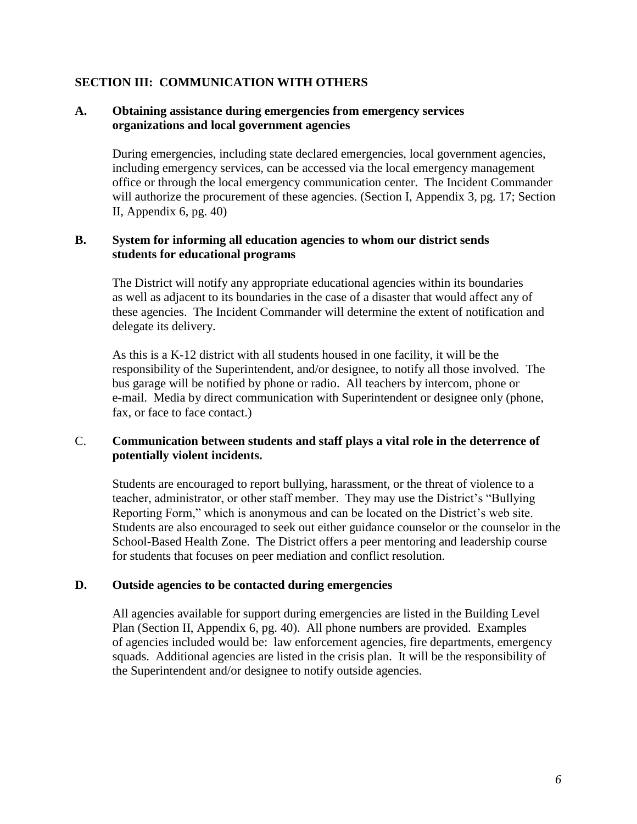#### **SECTION III: COMMUNICATION WITH OTHERS**

#### **A. Obtaining assistance during emergencies from emergency services organizations and local government agencies**

During emergencies, including state declared emergencies, local government agencies, including emergency services, can be accessed via the local emergency management office or through the local emergency communication center. The Incident Commander will authorize the procurement of these agencies. (Section I, Appendix 3, pg. 17; Section II, Appendix 6, pg. 40)

#### **B. System for informing all education agencies to whom our district sends students for educational programs**

The District will notify any appropriate educational agencies within its boundaries as well as adjacent to its boundaries in the case of a disaster that would affect any of these agencies. The Incident Commander will determine the extent of notification and delegate its delivery.

As this is a K-12 district with all students housed in one facility, it will be the responsibility of the Superintendent, and/or designee, to notify all those involved. The bus garage will be notified by phone or radio. All teachers by intercom, phone or e-mail. Media by direct communication with Superintendent or designee only (phone, fax, or face to face contact.)

#### C. **Communication between students and staff plays a vital role in the deterrence of potentially violent incidents.**

Students are encouraged to report bullying, harassment, or the threat of violence to a teacher, administrator, or other staff member. They may use the District's "Bullying Reporting Form," which is anonymous and can be located on the District's web site. Students are also encouraged to seek out either guidance counselor or the counselor in the School-Based Health Zone. The District offers a peer mentoring and leadership course for students that focuses on peer mediation and conflict resolution.

#### **D. Outside agencies to be contacted during emergencies**

All agencies available for support during emergencies are listed in the Building Level Plan (Section II, Appendix 6, pg. 40). All phone numbers are provided. Examples of agencies included would be: law enforcement agencies, fire departments, emergency squads. Additional agencies are listed in the crisis plan. It will be the responsibility of the Superintendent and/or designee to notify outside agencies.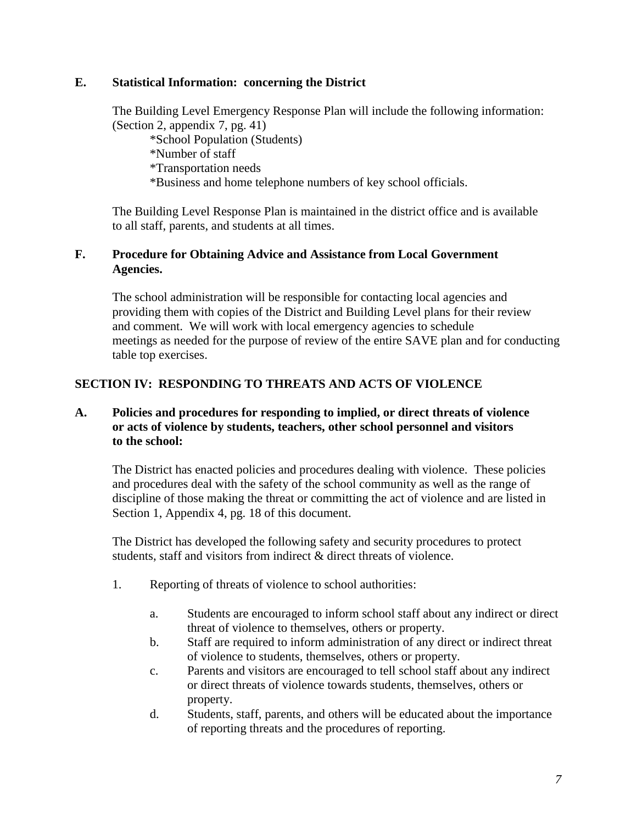### **E. Statistical Information: concerning the District**

The Building Level Emergency Response Plan will include the following information: (Section 2, appendix 7, pg. 41)

\*School Population (Students)

\*Number of staff

\*Transportation needs

\*Business and home telephone numbers of key school officials.

The Building Level Response Plan is maintained in the district office and is available to all staff, parents, and students at all times.

### **F. Procedure for Obtaining Advice and Assistance from Local Government Agencies.**

The school administration will be responsible for contacting local agencies and providing them with copies of the District and Building Level plans for their review and comment. We will work with local emergency agencies to schedule meetings as needed for the purpose of review of the entire SAVE plan and for conducting table top exercises.

## **SECTION IV: RESPONDING TO THREATS AND ACTS OF VIOLENCE**

### **A. Policies and procedures for responding to implied, or direct threats of violence or acts of violence by students, teachers, other school personnel and visitors to the school:**

The District has enacted policies and procedures dealing with violence. These policies and procedures deal with the safety of the school community as well as the range of discipline of those making the threat or committing the act of violence and are listed in Section 1, Appendix 4, pg. 18 of this document.

The District has developed the following safety and security procedures to protect students, staff and visitors from indirect & direct threats of violence.

- 1. Reporting of threats of violence to school authorities:
	- a. Students are encouraged to inform school staff about any indirect or direct threat of violence to themselves, others or property.
	- b. Staff are required to inform administration of any direct or indirect threat of violence to students, themselves, others or property.
	- c. Parents and visitors are encouraged to tell school staff about any indirect or direct threats of violence towards students, themselves, others or property.
	- d. Students, staff, parents, and others will be educated about the importance of reporting threats and the procedures of reporting.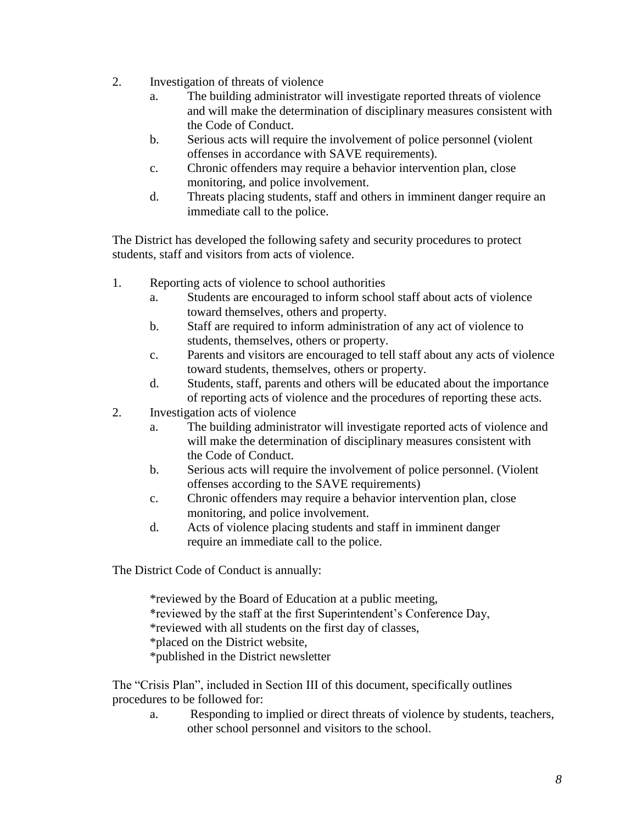- 2. Investigation of threats of violence
	- a. The building administrator will investigate reported threats of violence and will make the determination of disciplinary measures consistent with the Code of Conduct.
	- b. Serious acts will require the involvement of police personnel (violent offenses in accordance with SAVE requirements).
	- c. Chronic offenders may require a behavior intervention plan, close monitoring, and police involvement.
	- d. Threats placing students, staff and others in imminent danger require an immediate call to the police.

The District has developed the following safety and security procedures to protect students, staff and visitors from acts of violence.

- 1. Reporting acts of violence to school authorities
	- a. Students are encouraged to inform school staff about acts of violence toward themselves, others and property.
	- b. Staff are required to inform administration of any act of violence to students, themselves, others or property.
	- c. Parents and visitors are encouraged to tell staff about any acts of violence toward students, themselves, others or property.
	- d. Students, staff, parents and others will be educated about the importance of reporting acts of violence and the procedures of reporting these acts.
- 2. Investigation acts of violence
	- a. The building administrator will investigate reported acts of violence and will make the determination of disciplinary measures consistent with the Code of Conduct.
	- b. Serious acts will require the involvement of police personnel. (Violent offenses according to the SAVE requirements)
	- c. Chronic offenders may require a behavior intervention plan, close monitoring, and police involvement.
	- d. Acts of violence placing students and staff in imminent danger require an immediate call to the police.

The District Code of Conduct is annually:

\*reviewed by the Board of Education at a public meeting, \*reviewed by the staff at the first Superintendent's Conference Day, \*reviewed with all students on the first day of classes, \*placed on the District website, \*published in the District newsletter

The "Crisis Plan", included in Section III of this document, specifically outlines procedures to be followed for:

a. Responding to implied or direct threats of violence by students, teachers, other school personnel and visitors to the school.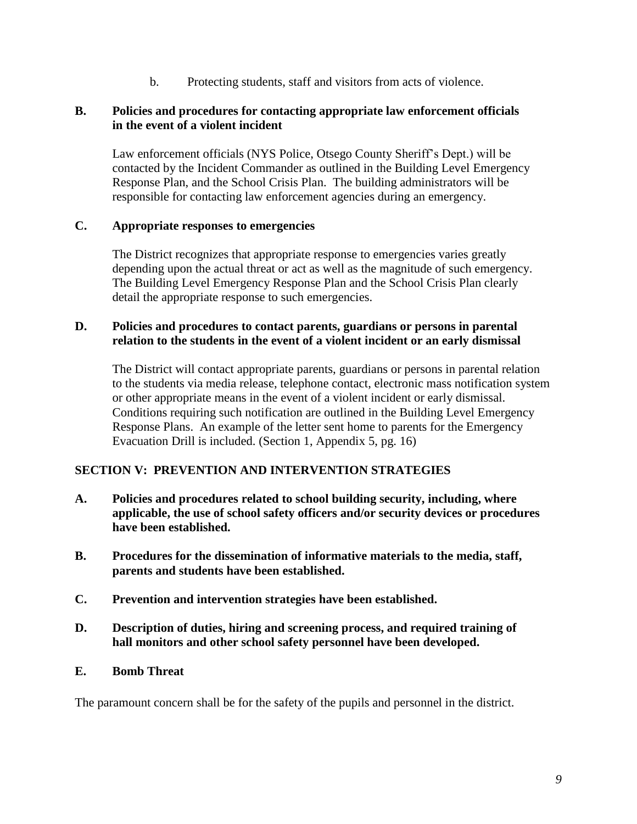b. Protecting students, staff and visitors from acts of violence.

### **B. Policies and procedures for contacting appropriate law enforcement officials in the event of a violent incident**

Law enforcement officials (NYS Police, Otsego County Sheriff's Dept.) will be contacted by the Incident Commander as outlined in the Building Level Emergency Response Plan, and the School Crisis Plan. The building administrators will be responsible for contacting law enforcement agencies during an emergency.

### **C. Appropriate responses to emergencies**

The District recognizes that appropriate response to emergencies varies greatly depending upon the actual threat or act as well as the magnitude of such emergency. The Building Level Emergency Response Plan and the School Crisis Plan clearly detail the appropriate response to such emergencies.

#### **D. Policies and procedures to contact parents, guardians or persons in parental relation to the students in the event of a violent incident or an early dismissal**

The District will contact appropriate parents, guardians or persons in parental relation to the students via media release, telephone contact, electronic mass notification system or other appropriate means in the event of a violent incident or early dismissal. Conditions requiring such notification are outlined in the Building Level Emergency Response Plans. An example of the letter sent home to parents for the Emergency Evacuation Drill is included. (Section 1, Appendix 5, pg. 16)

### **SECTION V: PREVENTION AND INTERVENTION STRATEGIES**

- **A. Policies and procedures related to school building security, including, where applicable, the use of school safety officers and/or security devices or procedures have been established.**
- **B. Procedures for the dissemination of informative materials to the media, staff, parents and students have been established.**
- **C. Prevention and intervention strategies have been established.**
- **D. Description of duties, hiring and screening process, and required training of hall monitors and other school safety personnel have been developed.**
- **E. Bomb Threat**

The paramount concern shall be for the safety of the pupils and personnel in the district.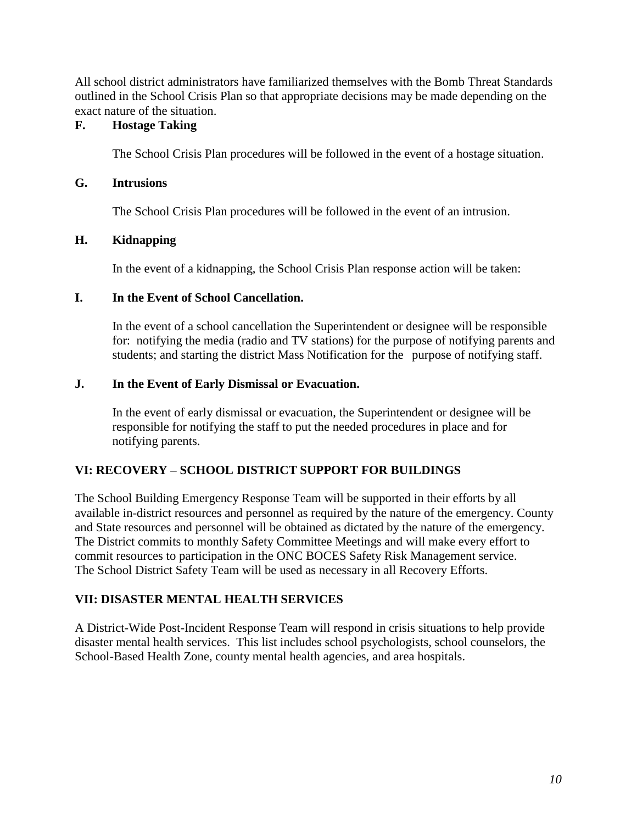All school district administrators have familiarized themselves with the Bomb Threat Standards outlined in the School Crisis Plan so that appropriate decisions may be made depending on the exact nature of the situation.

## **F. Hostage Taking**

The School Crisis Plan procedures will be followed in the event of a hostage situation.

### **G. Intrusions**

The School Crisis Plan procedures will be followed in the event of an intrusion.

## **H. Kidnapping**

In the event of a kidnapping, the School Crisis Plan response action will be taken:

### **I. In the Event of School Cancellation.**

In the event of a school cancellation the Superintendent or designee will be responsible for: notifying the media (radio and TV stations) for the purpose of notifying parents and students; and starting the district Mass Notification for the purpose of notifying staff.

## **J. In the Event of Early Dismissal or Evacuation.**

In the event of early dismissal or evacuation, the Superintendent or designee will be responsible for notifying the staff to put the needed procedures in place and for notifying parents.

## **VI: RECOVERY – SCHOOL DISTRICT SUPPORT FOR BUILDINGS**

The School Building Emergency Response Team will be supported in their efforts by all available in-district resources and personnel as required by the nature of the emergency. County and State resources and personnel will be obtained as dictated by the nature of the emergency. The District commits to monthly Safety Committee Meetings and will make every effort to commit resources to participation in the ONC BOCES Safety Risk Management service. The School District Safety Team will be used as necessary in all Recovery Efforts.

## **VII: DISASTER MENTAL HEALTH SERVICES**

A District-Wide Post-Incident Response Team will respond in crisis situations to help provide disaster mental health services. This list includes school psychologists, school counselors, the School-Based Health Zone, county mental health agencies, and area hospitals.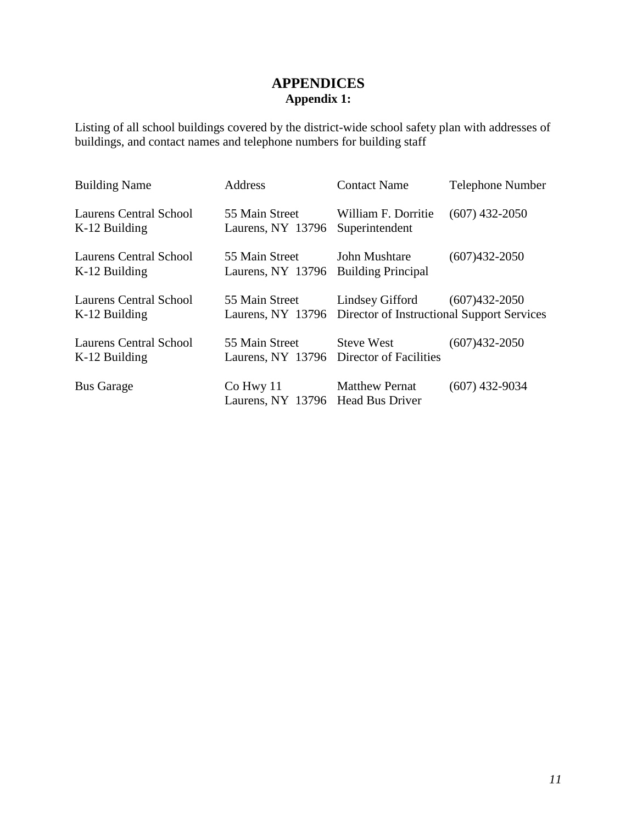## **APPENDICES Appendix 1:**

Listing of all school buildings covered by the district-wide school safety plan with addresses of buildings, and contact names and telephone numbers for building staff

| <b>Building Name</b>                      | <b>Address</b>                                             | <b>Contact Name</b>                                                             | <b>Telephone Number</b> |
|-------------------------------------------|------------------------------------------------------------|---------------------------------------------------------------------------------|-------------------------|
| Laurens Central School<br>$K-12$ Building | 55 Main Street<br>Laurens, NY 13796                        | William F. Dorritie<br>Superintendent                                           | $(607)$ 432-2050        |
| Laurens Central School<br>$K-12$ Building | 55 Main Street<br>Laurens, NY 13796                        | John Mushtare<br><b>Building Principal</b>                                      | $(607)432 - 2050$       |
| Laurens Central School<br>$K-12$ Building | 55 Main Street                                             | Lindsey Gifford<br>Laurens, NY 13796 Director of Instructional Support Services | $(607)432 - 2050$       |
| Laurens Central School<br>$K-12$ Building | 55 Main Street<br>Laurens, NY 13796 Director of Facilities | <b>Steve West</b>                                                               | $(607)432 - 2050$       |
| <b>Bus Garage</b>                         | Co Hwy 11<br>Laurens, NY 13796 Head Bus Driver             | <b>Matthew Pernat</b>                                                           | $(607)$ 432-9034        |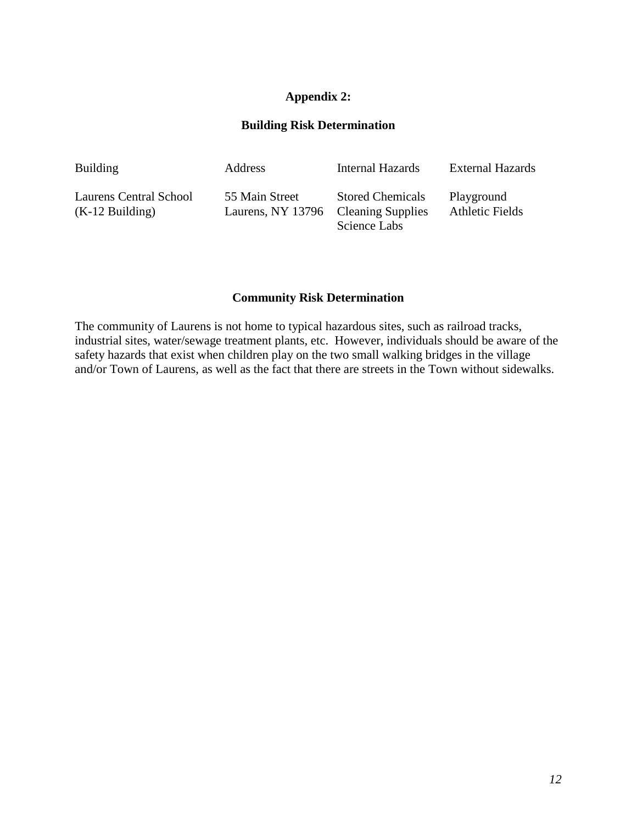## **Appendix 2:**

### **Building Risk Determination**

| <b>Building</b>        | Address                             | Internal Hazards        | <b>External Hazards</b> |
|------------------------|-------------------------------------|-------------------------|-------------------------|
| Laurens Central School | 55 Main Street                      | <b>Stored Chemicals</b> | Playground              |
| $(K-12$ Building)      | Laurens, NY 13796 Cleaning Supplies | Science Labs            | <b>Athletic Fields</b>  |

#### **Community Risk Determination**

The community of Laurens is not home to typical hazardous sites, such as railroad tracks, industrial sites, water/sewage treatment plants, etc. However, individuals should be aware of the safety hazards that exist when children play on the two small walking bridges in the village and/or Town of Laurens, as well as the fact that there are streets in the Town without sidewalks.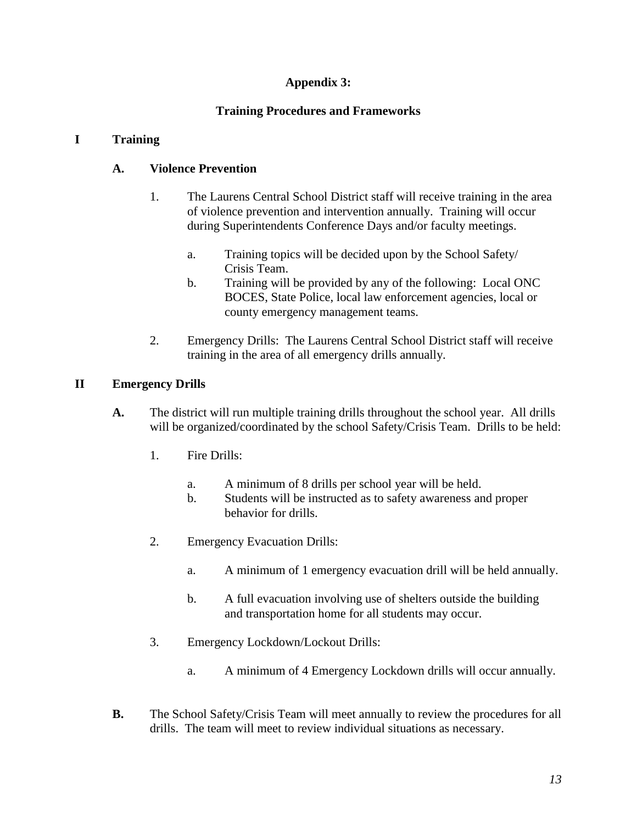### **Appendix 3:**

## **Training Procedures and Frameworks**

### **I Training**

## **A. Violence Prevention**

- 1. The Laurens Central School District staff will receive training in the area of violence prevention and intervention annually. Training will occur during Superintendents Conference Days and/or faculty meetings.
	- a. Training topics will be decided upon by the School Safety/ Crisis Team.
	- b. Training will be provided by any of the following: Local ONC BOCES, State Police, local law enforcement agencies, local or county emergency management teams.
- 2. Emergency Drills: The Laurens Central School District staff will receive training in the area of all emergency drills annually.

### **II Emergency Drills**

- **A.** The district will run multiple training drills throughout the school year. All drills will be organized/coordinated by the school Safety/Crisis Team. Drills to be held:
	- 1. Fire Drills:
		- a. A minimum of 8 drills per school year will be held.
		- b. Students will be instructed as to safety awareness and proper behavior for drills.
	- 2. Emergency Evacuation Drills:
		- a. A minimum of 1 emergency evacuation drill will be held annually.
		- b. A full evacuation involving use of shelters outside the building and transportation home for all students may occur.
	- 3. Emergency Lockdown/Lockout Drills:
		- a. A minimum of 4 Emergency Lockdown drills will occur annually.
- **B.** The School Safety/Crisis Team will meet annually to review the procedures for all drills. The team will meet to review individual situations as necessary.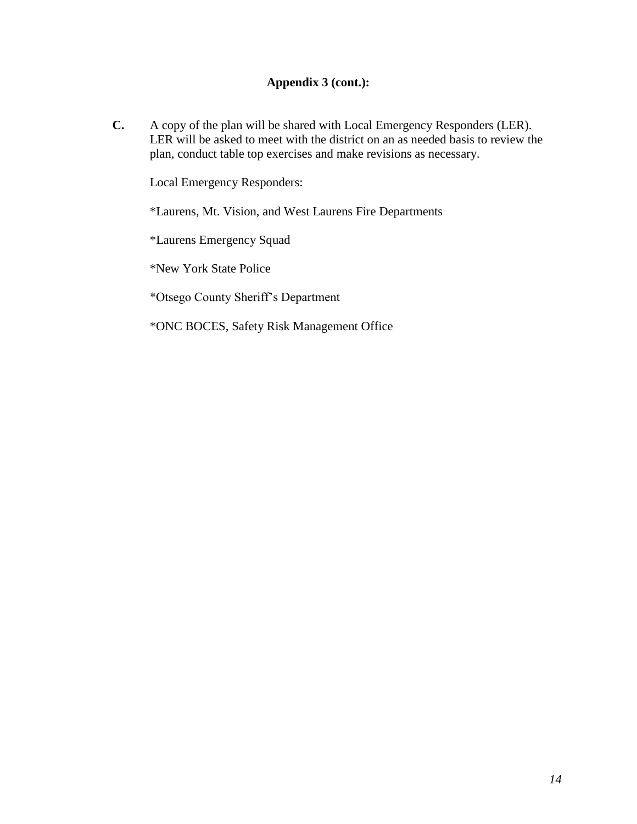## **Appendix 3 (cont.):**

**C.** A copy of the plan will be shared with Local Emergency Responders (LER). LER will be asked to meet with the district on an as needed basis to review the plan, conduct table top exercises and make revisions as necessary.

Local Emergency Responders:

\*Laurens, Mt. Vision, and West Laurens Fire Departments

\*Laurens Emergency Squad

\*New York State Police

\*Otsego County Sheriff's Department

\*ONC BOCES, Safety Risk Management Office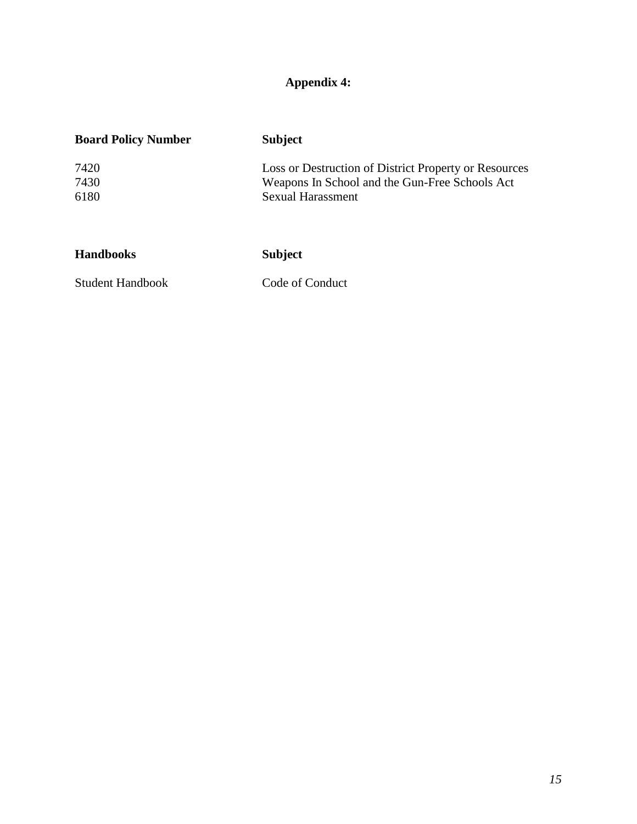# **Appendix 4:**

| <b>Board Policy Number</b> | <b>Subject</b>                                                                                                               |
|----------------------------|------------------------------------------------------------------------------------------------------------------------------|
| 7420<br>7430<br>6180       | Loss or Destruction of District Property or Resources<br>Weapons In School and the Gun-Free Schools Act<br>Sexual Harassment |
|                            |                                                                                                                              |
| <b>Handbooks</b>           | <b>Subject</b>                                                                                                               |

Student Handbook Code of Conduct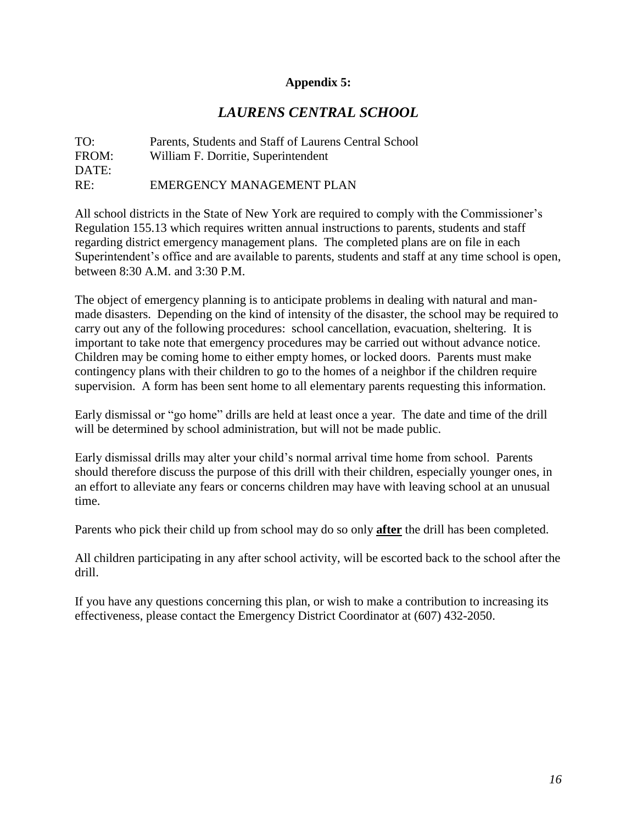### **Appendix 5:**

## *LAURENS CENTRAL SCHOOL*

TO: Parents, Students and Staff of Laurens Central School FROM: William F. Dorritie, Superintendent DATE: RE: EMERGENCY MANAGEMENT PLAN

All school districts in the State of New York are required to comply with the Commissioner's Regulation 155.13 which requires written annual instructions to parents, students and staff regarding district emergency management plans. The completed plans are on file in each Superintendent's office and are available to parents, students and staff at any time school is open, between 8:30 A.M. and 3:30 P.M.

The object of emergency planning is to anticipate problems in dealing with natural and manmade disasters. Depending on the kind of intensity of the disaster, the school may be required to carry out any of the following procedures: school cancellation, evacuation, sheltering. It is important to take note that emergency procedures may be carried out without advance notice. Children may be coming home to either empty homes, or locked doors. Parents must make contingency plans with their children to go to the homes of a neighbor if the children require supervision. A form has been sent home to all elementary parents requesting this information.

Early dismissal or "go home" drills are held at least once a year. The date and time of the drill will be determined by school administration, but will not be made public.

Early dismissal drills may alter your child's normal arrival time home from school. Parents should therefore discuss the purpose of this drill with their children, especially younger ones, in an effort to alleviate any fears or concerns children may have with leaving school at an unusual time.

Parents who pick their child up from school may do so only **after** the drill has been completed.

All children participating in any after school activity, will be escorted back to the school after the drill.

If you have any questions concerning this plan, or wish to make a contribution to increasing its effectiveness, please contact the Emergency District Coordinator at (607) 432-2050.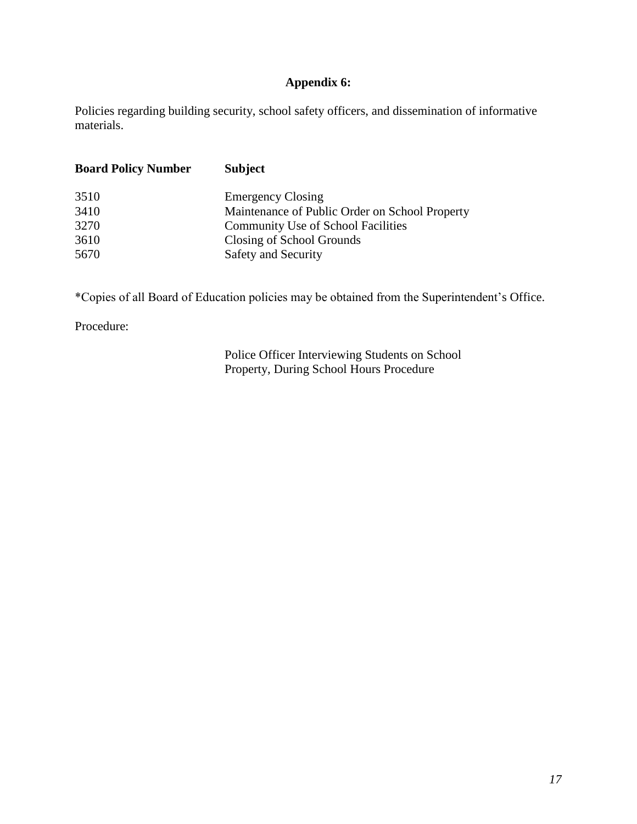## **Appendix 6:**

Policies regarding building security, school safety officers, and dissemination of informative materials.

| <b>Board Policy Number</b> | <b>Subject</b>                                 |
|----------------------------|------------------------------------------------|
| 3510                       | <b>Emergency Closing</b>                       |
| 3410                       | Maintenance of Public Order on School Property |
| 3270                       | <b>Community Use of School Facilities</b>      |
| 3610                       | Closing of School Grounds                      |
| 5670                       | <b>Safety and Security</b>                     |
|                            |                                                |

\*Copies of all Board of Education policies may be obtained from the Superintendent's Office.

Procedure:

Police Officer Interviewing Students on School Property, During School Hours Procedure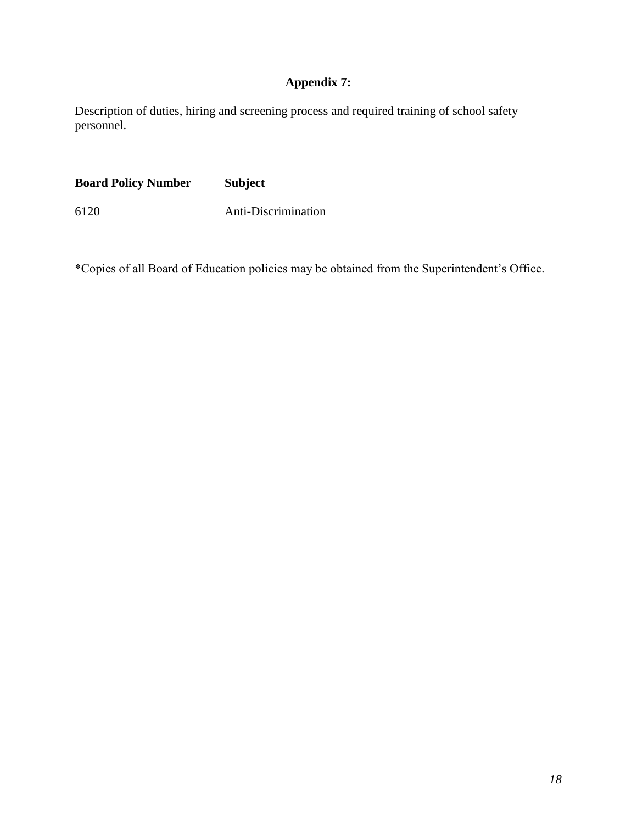## **Appendix 7:**

Description of duties, hiring and screening process and required training of school safety personnel.

**Board Policy Number Subject** 6120 Anti-Discrimination

\*Copies of all Board of Education policies may be obtained from the Superintendent's Office.